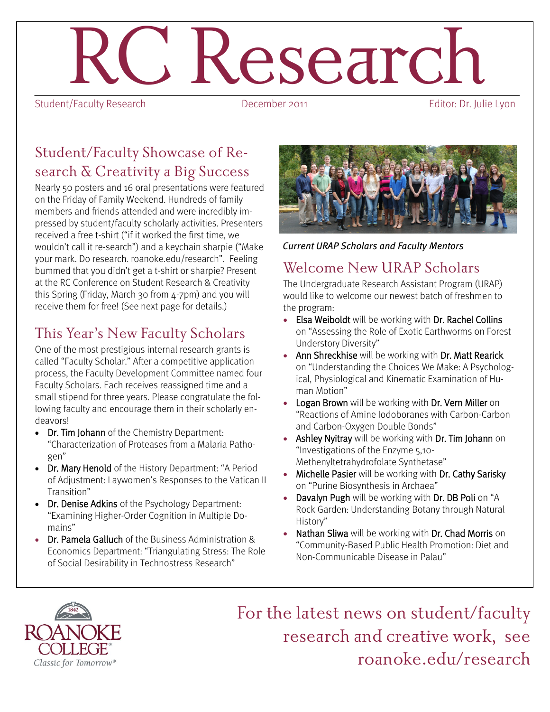# $R$ esearch<br>December 2011

Student/Faculty Research

## Student/Faculty Showcase of Research & Creativity a Big Success

Nearly 50 posters and 16 oral presentations were featured on the Friday of Family Weekend. Hundreds of family members and friends attended and were incredibly impressed by student/faculty scholarly activities. Presenters received a free t-shirt ("if it worked the first time, we wouldn't call it re-search") and a keychain sharpie ("Make your mark. Do research. roanoke.edu/research". Feeling bummed that you didn't get a t-shirt or sharpie? Present at the RC Conference on Student Research & Creativity this Spring (Friday, March 30 from 4-7pm) and you will receive them for free! (See next page for details.)

# This Year's New Faculty Scholars

One of the most prestigious internal research grants is called "Faculty Scholar." After a competitive application process, the Faculty Development Committee named four Faculty Scholars. Each receives reassigned time and a small stipend for three years. Please congratulate the following faculty and encourage them in their scholarly endeavors!

- Dr. Tim Johann of the Chemistry Department: "Characterization of Proteases from a Malaria Pathogen"
- Dr. Mary Henold of the History Department: "A Period of Adjustment: Laywomen's Responses to the Vatican II Transition"
- Dr. Denise Adkins of the Psychology Department: "Examining Higher-Order Cognition in Multiple Domains"
- Dr. Pamela Galluch of the Business Administration & Economics Department: "Triangulating Stress: The Role of Social Desirability in Technostress Research"



*Current URAP Scholars and Faculty Mentors*

## Welcome New URAP Scholars

The Undergraduate Research Assistant Program (URAP) would like to welcome our newest batch of freshmen to the program:

- Elsa Weiboldt will be working with Dr. Rachel Collins on "Assessing the Role of Exotic Earthworms on Forest Understory Diversity"
- Ann Shreckhise will be working with Dr. Matt Rearick on "Understanding the Choices We Make: A Psychological, Physiological and Kinematic Examination of Human Motion"
- Logan Brown will be working with Dr. Vern Miller on "Reactions of Amine Iodoboranes with Carbon-Carbon and Carbon-Oxygen Double Bonds"
- Ashley Nyitray will be working with Dr. Tim Johann on "Investigations of the Enzyme 5,10- Methenyltetrahydrofolate Synthetase"
- Michelle Pasier will be working with Dr. Cathy Sarisky on "Purine Biosynthesis in Archaea"
- Davalyn Pugh will be working with Dr. DB Poli on "A Rock Garden: Understanding Botany through Natural History"
- Nathan Sliwa will be working with Dr. Chad Morris on "Community-Based Public Health Promotion: Diet and Non-Communicable Disease in Palau"



For the latest news on student/faculty research and creative work, see roanoke.edu/research